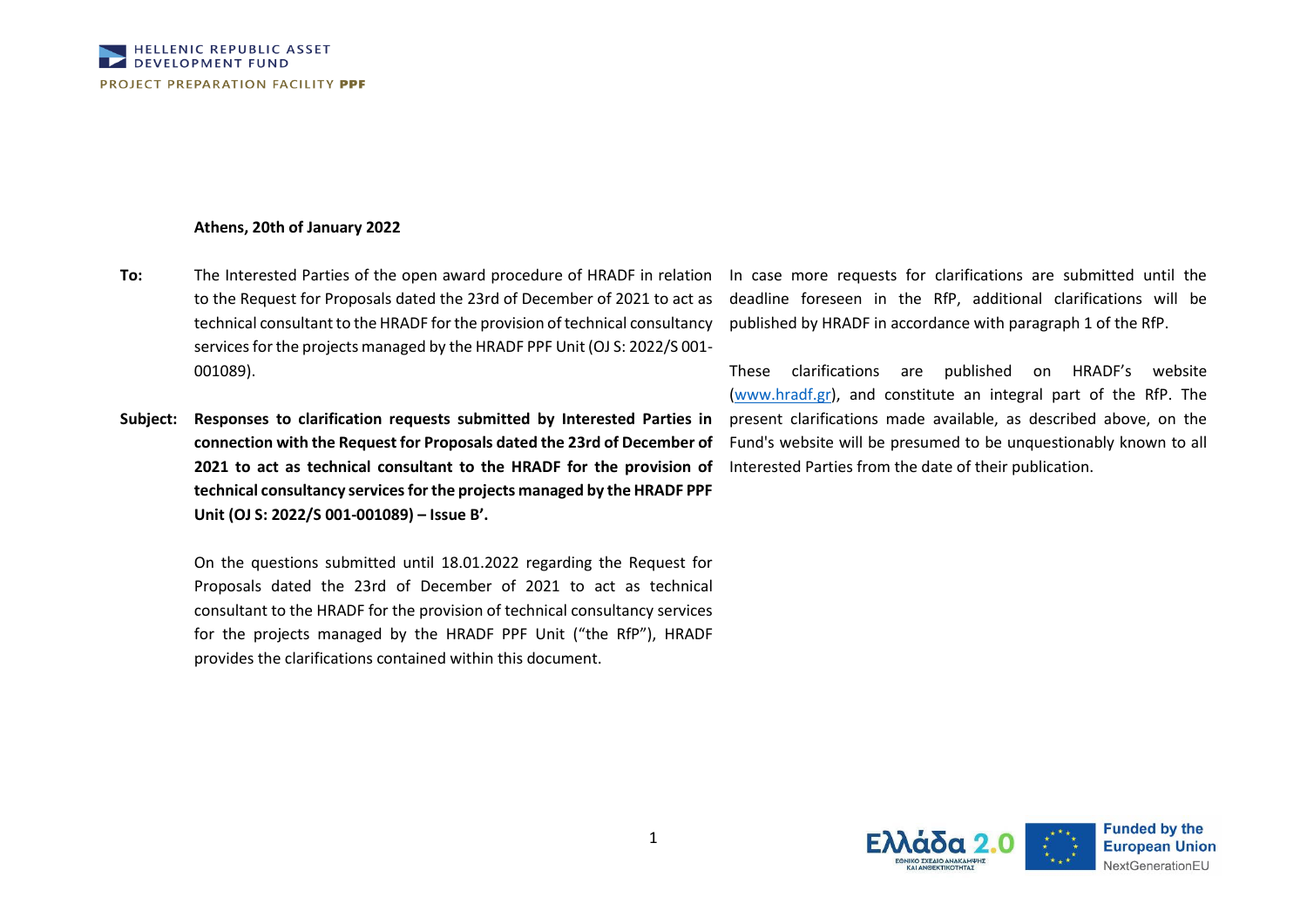## **Athens, 20th of January 2022**

- **To:** The Interested Parties of the open award procedure of HRADF in relation to the Request for Proposals dated the 23rd of December of 2021 to act as technical consultant to the HRADF for the provision of technical consultancy services for the projects managed by the HRADF PPF Unit (OJ S: 2022/S 001- 001089).
- **Subject: Responses to clarification requests submitted by Interested Parties in connection with the Request for Proposals dated the 23rd of December of 2021 to act as technical consultant to the HRADF for the provision of technical consultancy services for the projects managed by the HRADF PPF Unit (OJ S: 2022/S 001-001089) – Issue B'.**

On the questions submitted until 18.01.2022 regarding the Request for Proposals dated the 23rd of December of 2021 to act as technical consultant to the HRADF for the provision of technical consultancy services for the projects managed by the HRADF PPF Unit ("the RfP"), HRADF provides the clarifications contained within this document.

In case more requests for clarifications are submitted until the deadline foreseen in the RfP, additional clarifications will be published by HRADF in accordance with paragraph 1 of the RfP.

These clarifications are published on HRADF's website [\(www.hradf.gr\)](http://www.hradf.gr/), and constitute an integral part of the RfP. The present clarifications made available, as described above, on the Fund's website will be presumed to be unquestionably known to all Interested Parties from the date of their publication.